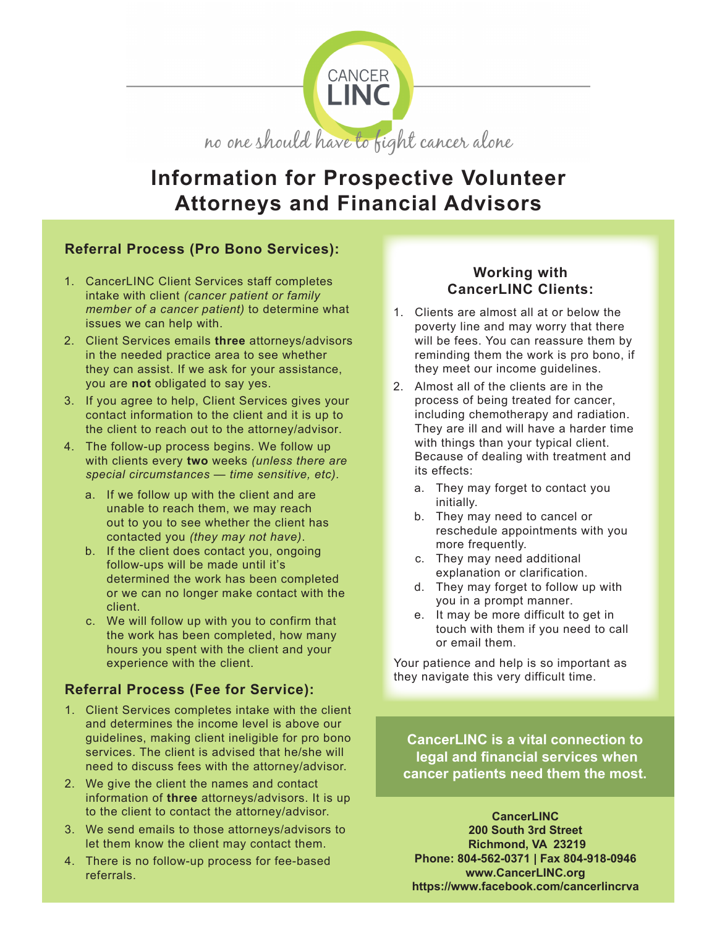

# **Information for Prospective Volunteer Attorneys and Financial Advisors**

## **Referral Process (Pro Bono Services):**

- 1. CancerLINC Client Services staff completes intake with client *(cancer patient or family member of a cancer patient)* to determine what issues we can help with.
- 2. Client Services emails **three** attorneys/advisors in the needed practice area to see whether they can assist. If we ask for your assistance, you are **not** obligated to say yes.
- 3. If you agree to help, Client Services gives your contact information to the client and it is up to the client to reach out to the attorney/advisor.
- 4. The follow-up process begins. We follow up with clients every **two** weeks *(unless there are special circumstances — time sensitive, etc).*
	- a. If we follow up with the client and are unable to reach them, we may reach out to you to see whether the client has contacted you *(they may not have)*.
	- b. If the client does contact you, ongoing follow-ups will be made until it's determined the work has been completed or we can no longer make contact with the client.
	- c. We will follow up with you to confirm that the work has been completed, how many hours you spent with the client and your experience with the client.

## **Referral Process (Fee for Service):**

- 1. Client Services completes intake with the client and determines the income level is above our guidelines, making client ineligible for pro bono services. The client is advised that he/she will need to discuss fees with the attorney/advisor.
- 2. We give the client the names and contact information of **three** attorneys/advisors. It is up to the client to contact the attorney/advisor.
- 3. We send emails to those attorneys/advisors to let them know the client may contact them.
- 4. There is no follow-up process for fee-based referrals.

### **Working with CancerLINC Clients:**

- 1. Clients are almost all at or below the poverty line and may worry that there will be fees. You can reassure them by reminding them the work is pro bono, if they meet our income guidelines.
- 2. Almost all of the clients are in the process of being treated for cancer, including chemotherapy and radiation. They are ill and will have a harder time with things than your typical client. Because of dealing with treatment and its effects:
	- a. They may forget to contact you initially.
	- b. They may need to cancel or reschedule appointments with you more frequently.
	- c. They may need additional explanation or clarification.
	- d. They may forget to follow up with you in a prompt manner.
	- e. It may be more difficult to get in touch with them if you need to call or email them.

Your patience and help is so important as they navigate this very difficult time.

**CancerLINC is a vital connection to legal and financial services when cancer patients need them the most.**

**CancerLINC 200 South 3rd Street Richmond, VA 23219 Phone: 804-562-0371 | Fax 804-918-0946 www.CancerLINC.org https://www.facebook.com/cancerlincrva**